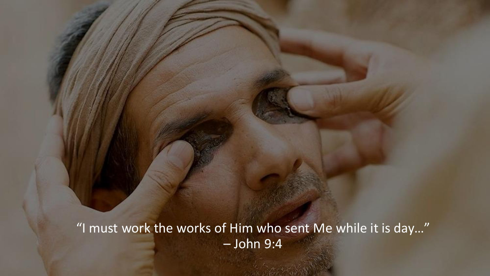"I must work the works of Him who sent Me while it is day…" – John 9:4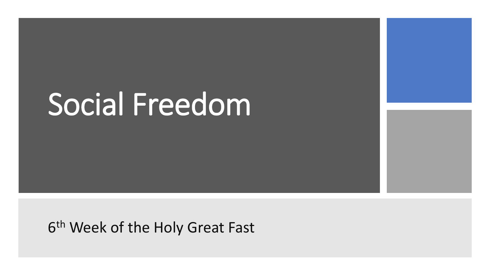# Social Freedom

6<sup>th</sup> Week of the Holy Great Fast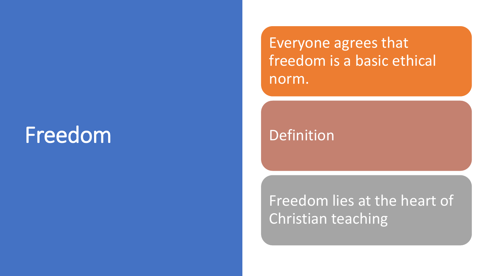# Freedom

Everyone agrees that freedom is a basic ethical norm.

Definition

Freedom lies at the heart of Christian teaching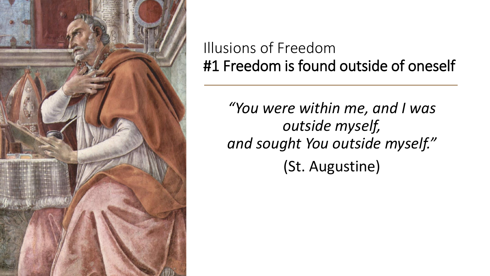

### Illusions of Freedom #1 Freedom is found outside of oneself

*"You were within me, and I was outside myself, and sought You outside myself."* (St. Augustine)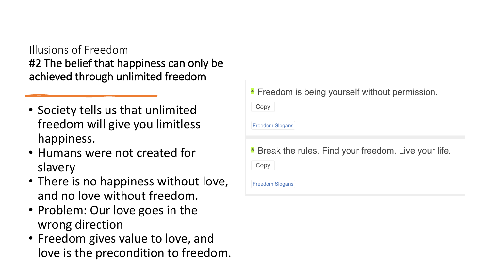#### Illusions of Freedom #2 The belief that happiness can only be achieved through unlimited freedom

- Society tells us that unlimited freedom will give you limitless happiness.
- Humans were not created for slavery
- There is no happiness without love, and no love without freedom.
- Problem: Our love goes in the wrong direction
- Freedom gives value to love, and love is the precondition to freedom.

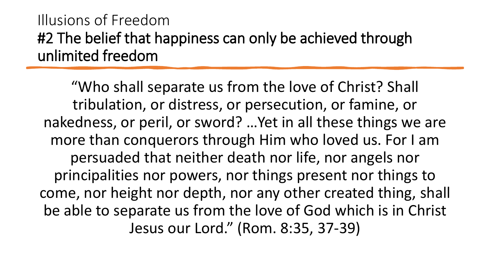### Illusions of Freedom #2 The belief that happiness can only be achieved through unlimited freedom

"Who shall separate us from the love of Christ? Shall tribulation, or distress, or persecution, or famine, or nakedness, or peril, or sword? …Yet in all these things we are more than conquerors through Him who loved us. For I am persuaded that neither death nor life, nor angels nor principalities nor powers, nor things present nor things to come, nor height nor depth, nor any other created thing, shall be able to separate us from the love of God which is in Christ Jesus our Lord." (Rom. 8:35, 37-39)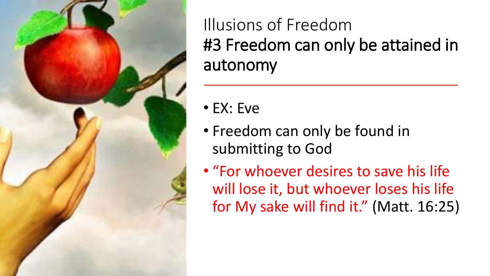

Illusions of Freedom #3 Freedom can only be attained in autonomy

- EX: Eve
- Freedom can only be found in submitting to God
- "For whoever desires to save his life will lose it, but whoever loses his life for My sake will find it." (Matt. 16:25)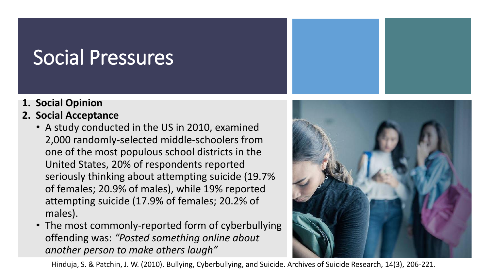# Social Pressures

- **1. Social Opinion**
- **2. Social Acceptance**
	- A study conducted in the US in 2010, examined 2,000 randomly-selected middle-schoolers from one of the most populous school districts in the United States, 20% of respondents reported seriously thinking about attempting suicide (19.7% of females; 20.9% of males), while 19% reported attempting suicide (17.9% of females; 20.2% of males).
	- The most commonly-reported form of cyberbullying offending was: *"Posted something online about another person to make others laugh"*



Hinduja, S. & Patchin, J. W. (2010). Bullying, Cyberbullying, and Suicide. Archives of Suicide Research, 14(3), 206-221.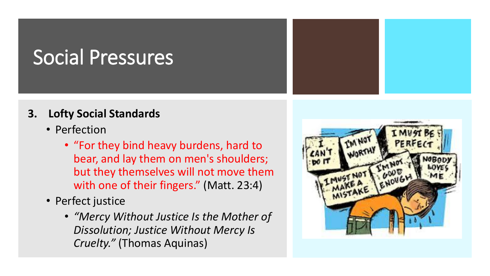# Social Pressures

#### **3. Lofty Social Standards**

- Perfection
	- "For they bind heavy burdens, hard to bear, and lay them on men's shoulders; but they themselves will not move them with one of their fingers." (Matt. 23:4)
- Perfect justice
	- *"Mercy Without Justice Is the Mother of Dissolution; Justice Without Mercy Is Cruelty."* (Thomas Aquinas)

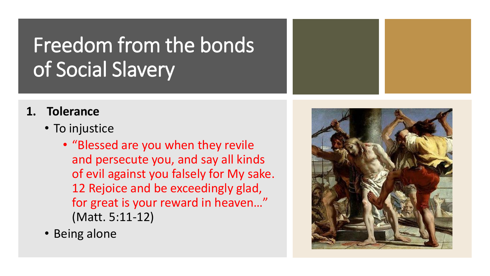# Freedom from the bonds of Social Slavery

#### **1. Tolerance**

- To injustice
	- "Blessed are you when they revile and persecute you, and say all kinds of evil against you falsely for My sake. 12 Rejoice and be exceedingly glad, for great is your reward in heaven…" (Matt. 5:11-12)
- Being alone

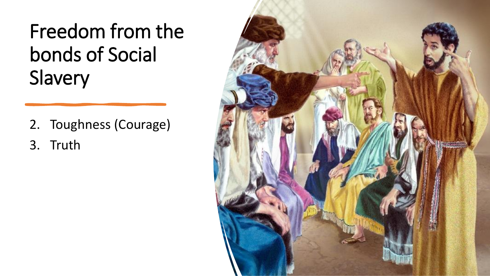# Freedom from the bonds of Social Slavery

2. Toughness (Courage)

3. Truth